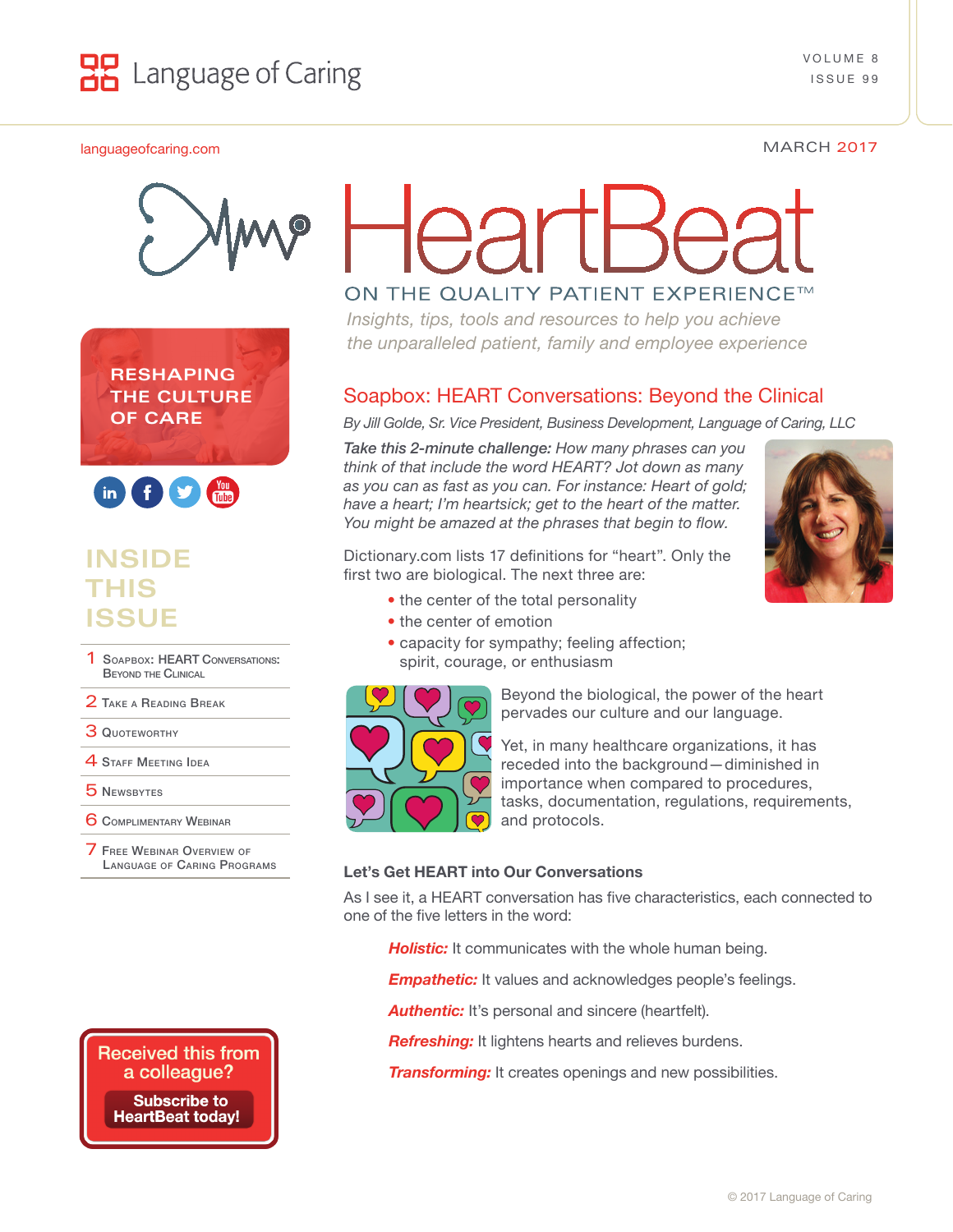

#### [languageofcaring.com](http://languageofcaring.com) MARCH 2017



**RESHAPING THE CULTURE OF CARE**



# **INSIDE THIS ISSUE**

- SOAPBOX: HEART CONVERSATIONS: Beyond the Clinical
- 2 TAKE A READING BREAK
- 3 QUOTEWORTHY
- **4 STAFF MEETING IDEA**
- 5 [Newsbytes](#page-3-0)
- **6 COMPLIMENTARY WEBINAR**
- **FREE WEBINAR OVERVIEW OF** Language [of Caring](#page-5-0) Programs

# ON THE QUALITY PATIENT EXPERIENCE™

*Insights, tips, tools and resources to help you achieve the unparalleled patient, family and employee experience*

## Soapbox: HEART Conversations: Beyond the Clinical

*By Jill Golde, Sr. Vice President, Business Development, Language of Caring, LLC*

*Take this 2-minute challenge: How many phrases can you think of that include the word HEART? Jot down as many as you can as fast as you can. For instance: Heart of gold; have a heart; I'm heartsick; get to the heart of the matter. You might be amazed at the phrases that begin to flow.*

Dictionary.com lists 17 definitions for "heart". Only the first two are biological. The next three are:

- the center of the total personality
- the center of emotion
- capacity for sympathy; feeling affection; spirit, courage, or enthusiasm



Beyond the biological, the power of the heart pervades our culture and our language.

Yet, in many healthcare organizations, it has receded into the background—diminished in importance when compared to procedures, tasks, documentation, regulations, requirements, and protocols.

#### **Let's Get HEART into Our Conversations**

As I see it, a HEART conversation has five characteristics, each connected to one of the five letters in the word:

**Holistic:** It communicates with the whole human being.

*Empathetic:* It values and acknowledges people's feelings.

**Authentic:** It's personal and sincere (heartfelt).

**Refreshing:** It lightens hearts and relieves burdens.

*Transforming:* It creates openings and new possibilities.



**Received this from** a colleague?

**Subscribe to HeartBeat today!**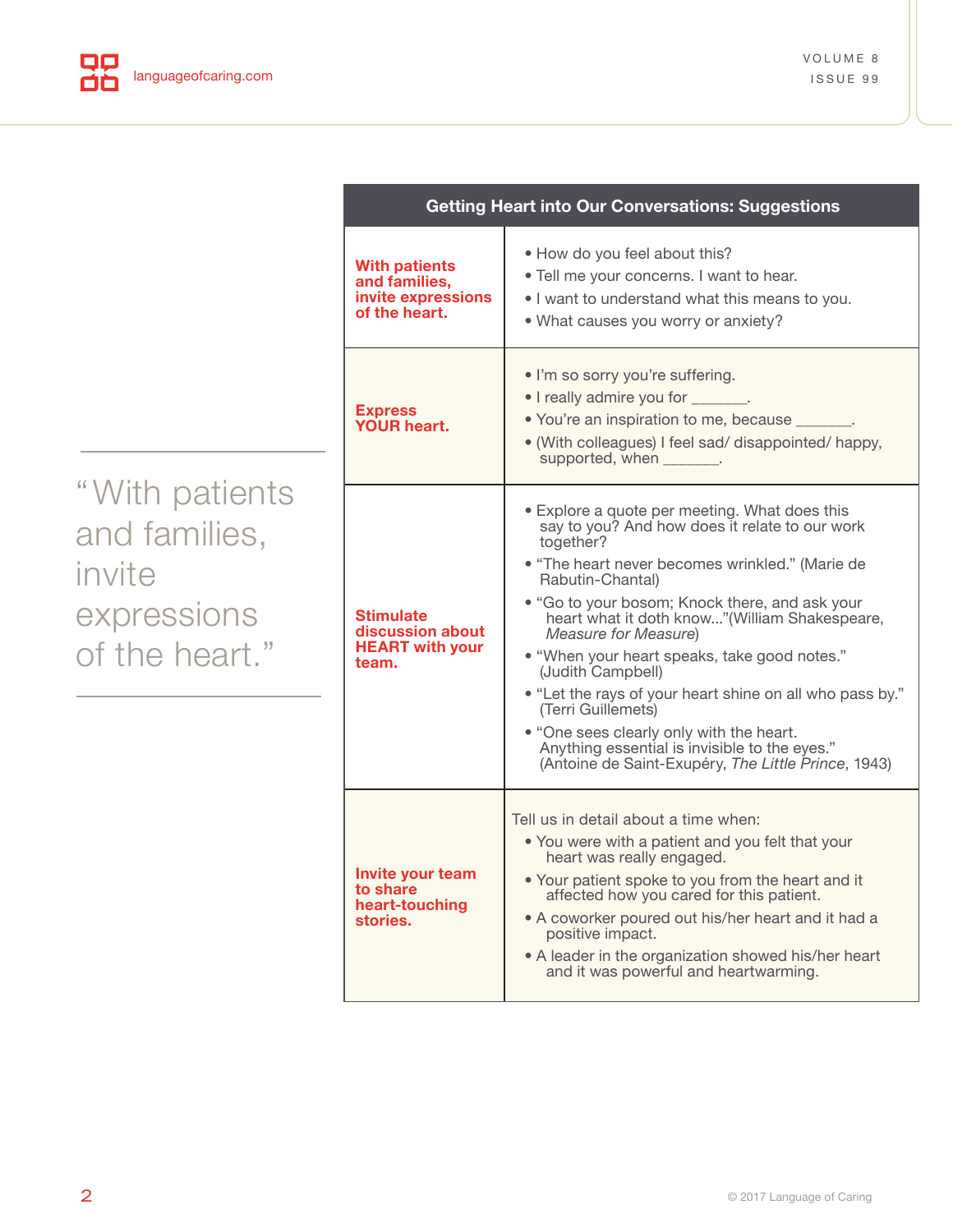|                                                                            | <b>Getting Heart into Our Conversations: Suggestions</b>                     |                                                                                                                                                                                                                                                                                                                                                                                                                                                                                                                                                                                                                           |
|----------------------------------------------------------------------------|------------------------------------------------------------------------------|---------------------------------------------------------------------------------------------------------------------------------------------------------------------------------------------------------------------------------------------------------------------------------------------------------------------------------------------------------------------------------------------------------------------------------------------------------------------------------------------------------------------------------------------------------------------------------------------------------------------------|
| "With patients<br>and families,<br>invite<br>expressions<br>of the heart." | <b>With patients</b><br>and families,<br>invite expressions<br>of the heart. | . How do you feel about this?<br>. Tell me your concerns. I want to hear.<br>. I want to understand what this means to you.<br>. What causes you worry or anxiety?                                                                                                                                                                                                                                                                                                                                                                                                                                                        |
|                                                                            | <b>Express</b><br>YOUR heart.                                                | . I'm so sorry you're suffering.<br>• I really admire you for _______.<br>• You're an inspiration to me, because<br>• (With colleagues) I feel sad/ disappointed/ happy,<br>supported, when _______.                                                                                                                                                                                                                                                                                                                                                                                                                      |
|                                                                            | <b>Stimulate</b><br>discussion about<br><b>HEART</b> with your<br>team.      | • Explore a quote per meeting. What does this<br>say to you? And how does it relate to our work<br>together?<br>• "The heart never becomes wrinkled." (Marie de<br>Rabutin-Chantal)<br>• "Go to your bosom; Knock there, and ask your<br>heart what it doth know"(William Shakespeare,<br>Measure for Measure)<br>• "When your heart speaks, take good notes."<br>(Judith Campbell)<br>• "Let the rays of your heart shine on all who pass by."<br>(Terri Guillemets)<br>• "One sees clearly only with the heart.<br>Anything essential is invisible to the eyes."<br>(Antoine de Saint-Exupéry, The Little Prince, 1943) |
|                                                                            | Invite your team<br>to share<br>heart-touching<br>stories.                   | Tell us in detail about a time when:<br>• You were with a patient and you felt that your<br>heart was really engaged.<br>. Your patient spoke to you from the heart and it<br>affected how you cared for this patient.<br>• A coworker poured out his/her heart and it had a<br>positive impact.<br>• A leader in the organization showed his/her heart<br>and it was powerful and heartwarming.                                                                                                                                                                                                                          |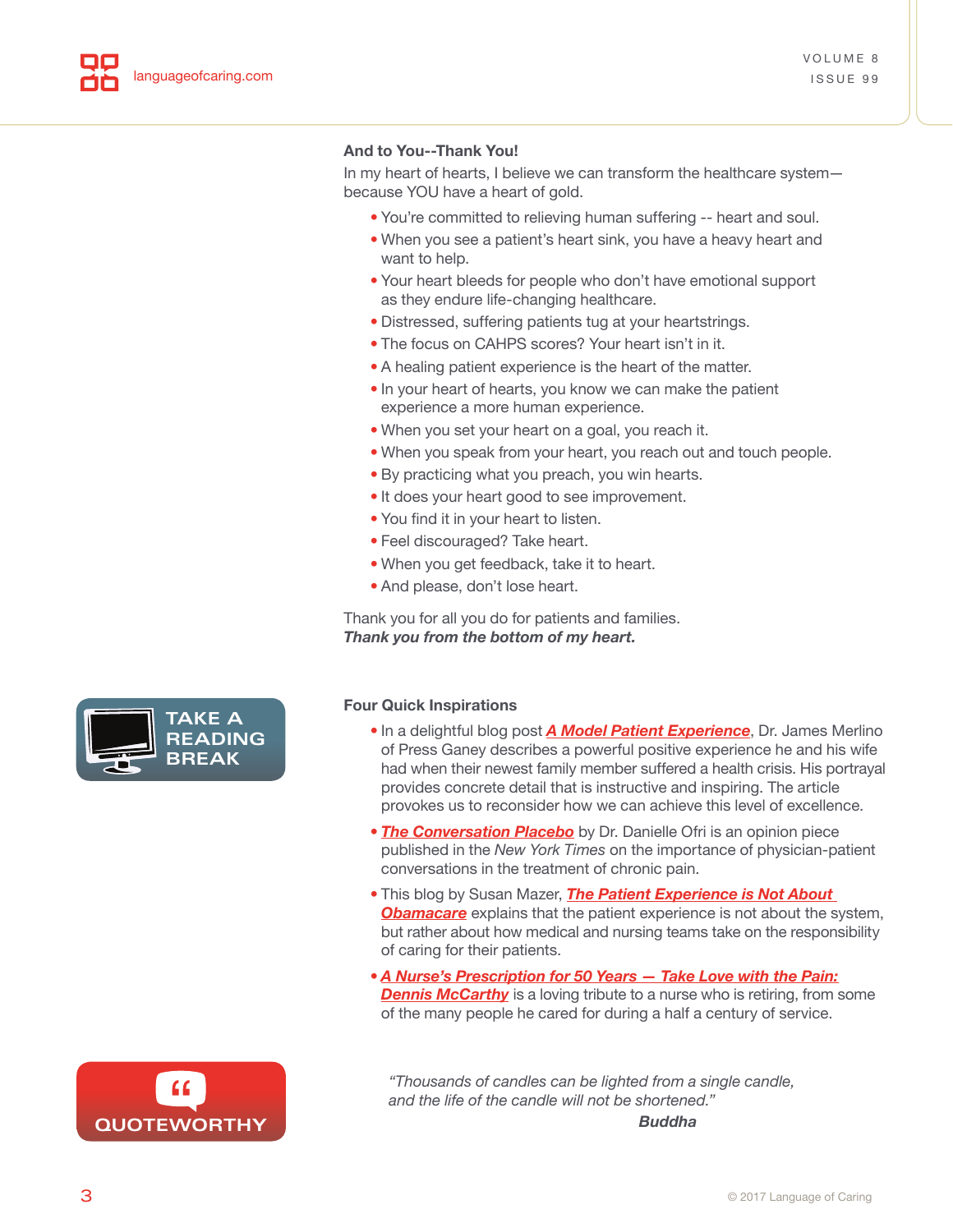#### <span id="page-2-0"></span>**And to You--Thank You!**

In my heart of hearts, I believe we can transform the healthcare system because YOU have a heart of gold.

- You're committed to relieving human suffering -- heart and soul.
- When you see a patient's heart sink, you have a heavy heart and want to help.
- Your heart bleeds for people who don't have emotional support as they endure life-changing healthcare.
- Distressed, suffering patients tug at your heartstrings.
- The focus on CAHPS scores? Your heart isn't in it.
- A healing patient experience is the heart of the matter.
- In your heart of hearts, you know we can make the patient experience a more human experience.
- When you set your heart on a goal, you reach it.
- When you speak from your heart, you reach out and touch people.
- By practicing what you preach, you win hearts.
- It does your heart good to see improvement.
- You find it in your heart to listen.
- Feel discouraged? Take heart.
- When you get feedback, take it to heart.
- And please, don't lose heart.

Thank you for all you do for patients and families. *Thank you from the bottom of my heart.*



- In a delightful blog post *[A Model Patient Experience](http://www.pressganey.com/resources/blog/a-model-patient-experience)*, Dr. James Merlino of Press Ganey describes a powerful positive experience he and his wife had when their newest family member suffered a health crisis. His portrayal provides concrete detail that is instructive and inspiring. The article provokes us to reconsider how we can achieve this level of excellence.
- *[The Conversation Placebo](https://www.nytimes.com/2017/01/19/opinion/sunday/the-conversation-placebo.html)* by Dr. Danielle Ofri is an opinion piece published in the *New York Times* on the importance of physician-patient conversations in the treatment of chronic pain.
- This blog by Susan Mazer, *[The Patient Experience is Not About](http://www.healinghealth.com/patient-experience-not-obamacare/)*  **[Obamacare](http://www.healinghealth.com/patient-experience-not-obamacare/)** explains that the patient experience is not about the system, but rather about how medical and nursing teams take on the responsibility of caring for their patients.
- *[A Nurse's Prescription for 50 Years Take Love with the Pain:](http://www.dailynews.com/health/20170106/a-nurses-prescription-for-50-years-take-love-with-the-pain-dennis-mccarthy)* **[Dennis McCarthy](http://www.dailynews.com/health/20170106/a-nurses-prescription-for-50-years-take-love-with-the-pain-dennis-mccarthy)** is a loving tribute to a nurse who is retiring, from some of the many people he cared for during a half a century of service.



**STAFF TAKE A MEETING READING** BREAI **BREAK**

> *"Thousands of candles can be lighted from a single candle, and the life of the candle will not be shortened." Buddha*

**3 3 a**  $\odot$  2017 Language of Caring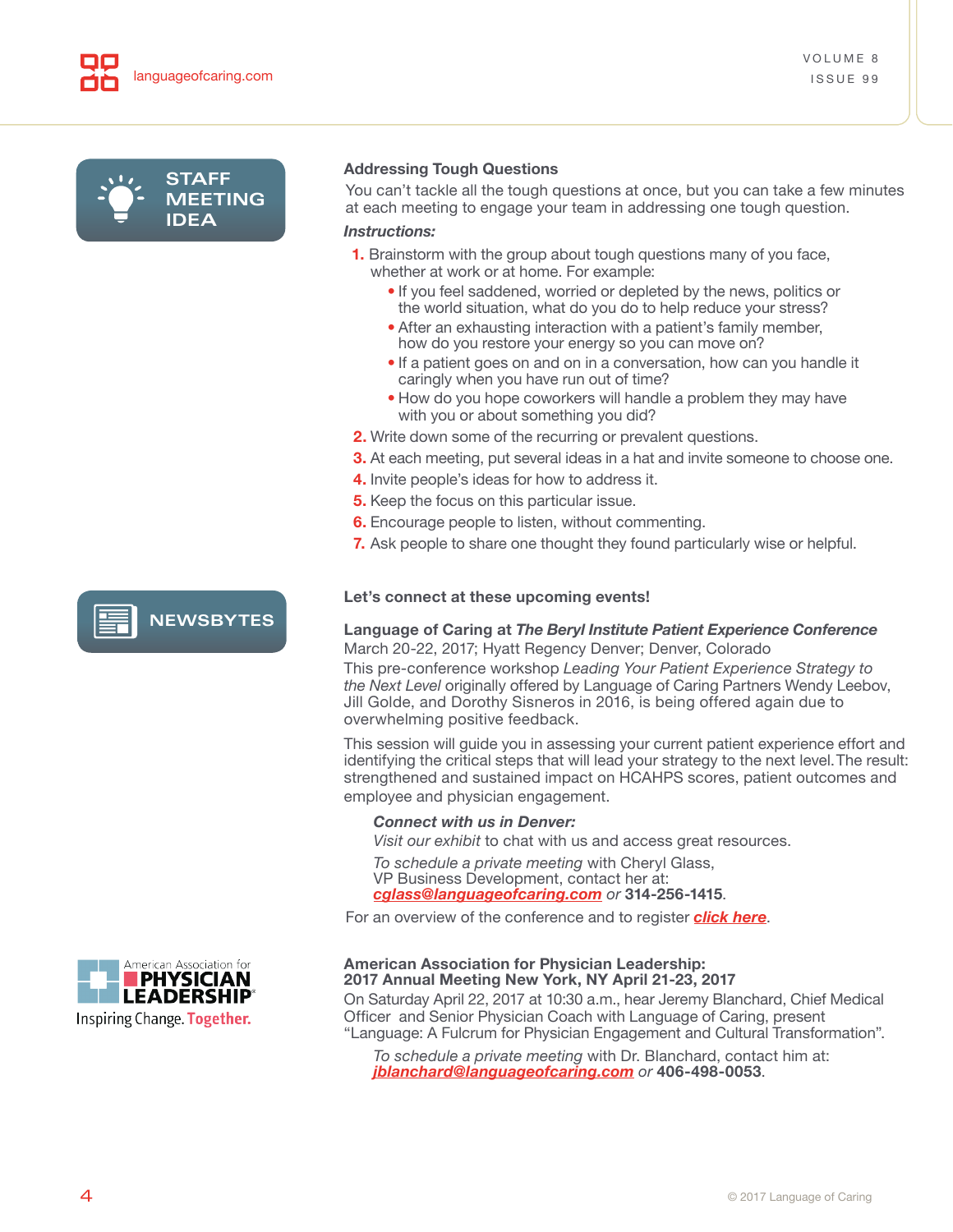<span id="page-3-0"></span>

**NEWSBYTES**

#### **Addressing Tough Questions**

You can't tackle all the tough questions at once, but you can take a few minutes at each meeting to engage your team in addressing one tough question.

#### *Instructions:*

- **1.** Brainstorm with the group about tough questions many of you face, whether at work or at home. For example:
	- If you feel saddened, worried or depleted by the news, politics or the world situation, what do you do to help reduce your stress?
	- After an exhausting interaction with a patient's family member, how do you restore your energy so you can move on?
	- If a patient goes on and on in a conversation, how can you handle it caringly when you have run out of time?
	- How do you hope coworkers will handle a problem they may have with you or about something you did?
- **2.** Write down some of the recurring or prevalent questions.
- **3.** At each meeting, put several ideas in a hat and invite someone to choose one.
- **4.** Invite people's ideas for how to address it.
- **5.** Keep the focus on this particular issue.
- **6.** Encourage people to listen, without commenting.
- **7.** Ask people to share one thought they found particularly wise or helpful.

#### **Let's connect at these upcoming events!**

#### **Language of Caring at** *The Beryl Institute Patient Experience Conference* March 20-22, 2017; Hyatt Regency Denver; Denver, Colorado

This pre-conference workshop *Leading Your Patient Experience Strategy to the Next Level* originally offered by Language of Caring Partners Wendy Leebov, Jill Golde, and Dorothy Sisneros in 2016, is being offered again due to overwhelming positive feedback.

This session will guide you in assessing your current patient experience effort and identifying the critical steps that will lead your strategy to the next level. The result: strengthened and sustained impact on HCAHPS scores, patient outcomes and employee and physician engagement.

#### *Connect with us in Denver:*

*Visit our exhibit* to chat with us and access great resources.

*To schedule a private meeting* with Cheryl Glass, VP Business Development, contact her at: *cglass@languageofcaring.com or* **314-256-1415**.

For an overview of the conference and to register *[click here](http://www.theberylinstitute.org/?page=CONF2017_OVERVIEW)*.

#### **American Association for Physician Leadership: 2017 Annual Meeting New York, NY April 21-23, 2017**

On Saturday April 22, 2017 at 10:30 a.m., hear Jeremy Blanchard, Chief Medical Officer and Senior Physician Coach with Language of Caring, present "Language: A Fulcrum for Physician Engagement and Cultural Transformation".

*To schedule a private meeting* with Dr. Blanchard, contact him at: *jblanchard@languageofcaring.com or* **406-498-0053**.



Inspiring Change. Together.

**LEADERSHIP®**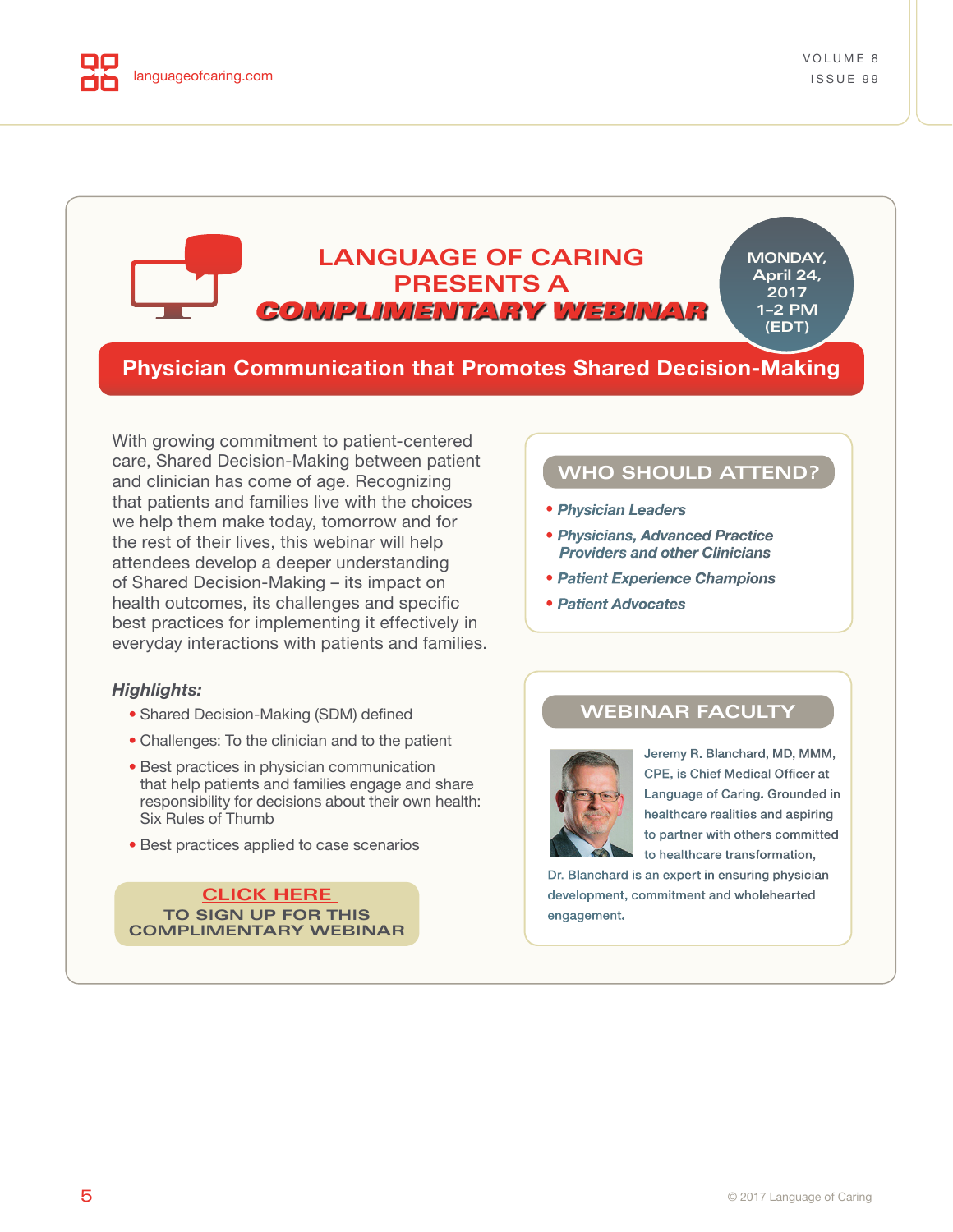<span id="page-4-0"></span>

#### **LANGUAGE OF CARING MONDAY, April 24, PRESENTS A 2017** COMPLIMENTARY WEBINAR **1–2 PM (EDT)**

## **Physician Communication that Promotes Shared Decision-Making**

With growing commitment to patient-centered care, Shared Decision-Making between patient and clinician has come of age. Recognizing that patients and families live with the choices we help them make today, tomorrow and for the rest of their lives, this webinar will help attendees develop a deeper understanding of Shared Decision-Making – its impact on health outcomes, its challenges and specific best practices for implementing it effectively in everyday interactions with patients and families.

#### *Highlights:*

- Shared Decision-Making (SDM) defined
- Challenges: To the clinician and to the patient
- Best practices in physician communication that help patients and families engage and share responsibility for decisions about their own health: Six Rules of Thumb
- Best practices applied to case scenarios

**CLICK HERE TO SIGN UP FOR THIS [COMPLIMENTARY WEBINAR](https://attendee.gotowebinar.com/register/3133240183415853570)**

## **WHO SHOULD ATTEND?**

- *Physician Leaders*
- *Physicians, Advanced Practice Providers and other Clinicians*
- *Patient Experience Champions*
- *Patient Advocates*

### **WEBINAR FACULTY**



Jeremy R. Blanchard, MD, MMM, CPE, is Chief Medical Officer at Language of Caring. Grounded in healthcare realities and aspiring to partner with others committed to healthcare transformation,

Dr. Blanchard is an expert in ensuring physician development, commitment and wholehearted engagement.